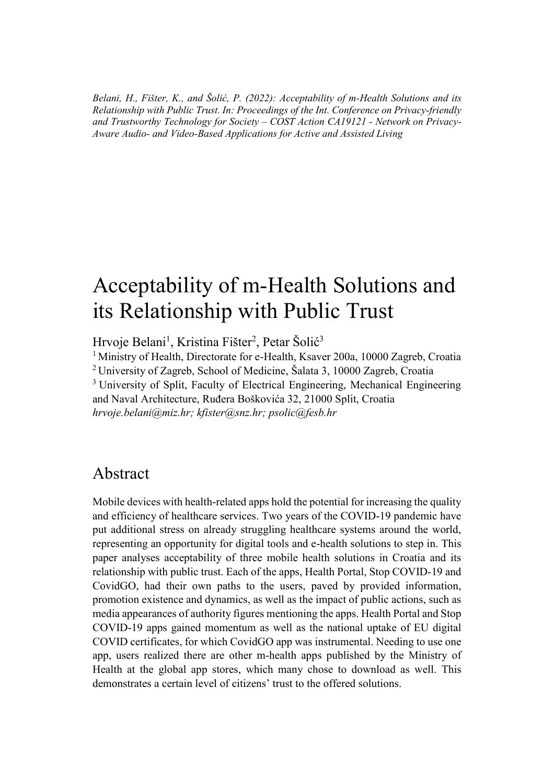*Belani, H., Fišter, K., and Šolić, P. (2022): Acceptability of m-Health Solutions and its Relationship with Public Trust. In: Proceedings of the Int. Conference on Privacy-friendly and Trustworthy Technology for Society – COST Action CA19121 - Network on Privacy-Aware Audio- and Video-Based Applications for Active and Assisted Living*

# Acceptability of m-Health Solutions and its Relationship with Public Trust

Hrvoje Belani<sup>1</sup>, Kristina Fišter<sup>2</sup>, Petar Šolić<sup>3</sup>

<sup>1</sup> Ministry of Health, Directorate for e-Health, Ksaver 200a, 10000 Zagreb, Croatia <sup>2</sup> University of Zagreb, School of Medicine, Šalata 3, 10000 Zagreb, Croatia

<sup>3</sup> University of Split, Faculty of Electrical Engineering, Mechanical Engineering and Naval Architecture, Ruđera Boškovića 32, 21000 Split, Croatia *hrvoje.belani@miz.hr; kfister@snz.hr; psolic@fesb.hr*

#### Abstract

Mobile devices with health-related apps hold the potential for increasing the quality and efficiency of healthcare services. Two years of the COVID-19 pandemic have put additional stress on already struggling healthcare systems around the world, representing an opportunity for digital tools and e-health solutions to step in. This paper analyses acceptability of three mobile health solutions in Croatia and its relationship with public trust. Each of the apps, Health Portal, Stop COVID-19 and CovidGO, had their own paths to the users, paved by provided information, promotion existence and dynamics, as well as the impact of public actions, such as media appearances of authority figures mentioning the apps. Health Portal and Stop COVID-19 apps gained momentum as well as the national uptake of EU digital COVID certificates, for which CovidGO app was instrumental. Needing to use one app, users realized there are other m-health apps published by the Ministry of Health at the global app stores, which many chose to download as well. This demonstrates a certain level of citizens' trust to the offered solutions.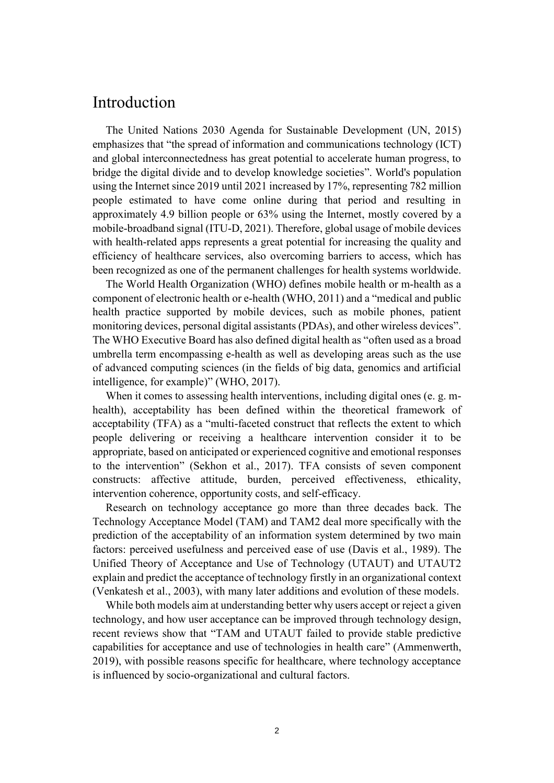## Introduction

The United Nations 2030 Agenda for Sustainable Development (UN, 2015) emphasizes that "the spread of information and communications technology (ICT) and global interconnectedness has great potential to accelerate human progress, to bridge the digital divide and to develop knowledge societies". World's population using the Internet since 2019 until 2021 increased by 17%, representing 782 million people estimated to have come online during that period and resulting in approximately 4.9 billion people or 63% using the Internet, mostly covered by a mobile-broadband signal (ITU-D, 2021). Therefore, global usage of mobile devices with health-related apps represents a great potential for increasing the quality and efficiency of healthcare services, also overcoming barriers to access, which has been recognized as one of the permanent challenges for health systems worldwide.

The World Health Organization (WHO) defines mobile health or m-health as a component of electronic health or e-health (WHO, 2011) and a "medical and public health practice supported by mobile devices, such as mobile phones, patient monitoring devices, personal digital assistants (PDAs), and other wireless devices". The WHO Executive Board has also defined digital health as "often used as a broad umbrella term encompassing e-health as well as developing areas such as the use of advanced computing sciences (in the fields of big data, genomics and artificial intelligence, for example)" (WHO, 2017).

When it comes to assessing health interventions, including digital ones (e.g. mhealth), acceptability has been defined within the theoretical framework of acceptability (TFA) as a "multi-faceted construct that reflects the extent to which people delivering or receiving a healthcare intervention consider it to be appropriate, based on anticipated or experienced cognitive and emotional responses to the intervention" (Sekhon et al., 2017). TFA consists of seven component constructs: affective attitude, burden, perceived effectiveness, ethicality, intervention coherence, opportunity costs, and self-efficacy.

Research on technology acceptance go more than three decades back. The Technology Acceptance Model (TAM) and TAM2 deal more specifically with the prediction of the acceptability of an information system determined by two main factors: perceived usefulness and perceived ease of use (Davis et al., 1989). The Unified Theory of Acceptance and Use of Technology (UTAUT) and UTAUT2 explain and predict the acceptance of technology firstly in an organizational context (Venkatesh et al., 2003), with many later additions and evolution of these models.

While both models aim at understanding better why users accept or reject a given technology, and how user acceptance can be improved through technology design, recent reviews show that "TAM and UTAUT failed to provide stable predictive capabilities for acceptance and use of technologies in health care" (Ammenwerth, 2019), with possible reasons specific for healthcare, where technology acceptance is influenced by socio-organizational and cultural factors.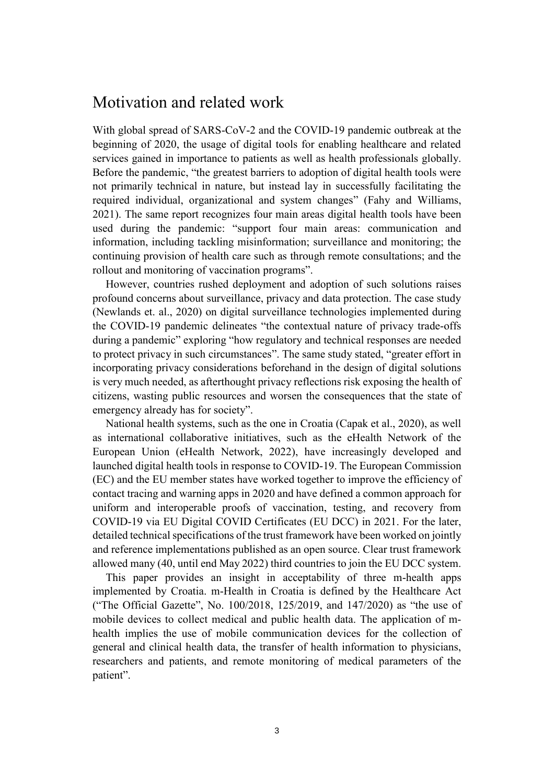#### Motivation and related work

With global spread of SARS-CoV-2 and the COVID-19 pandemic outbreak at the beginning of 2020, the usage of digital tools for enabling healthcare and related services gained in importance to patients as well as health professionals globally. Before the pandemic, "the greatest barriers to adoption of digital health tools were not primarily technical in nature, but instead lay in successfully facilitating the required individual, organizational and system changes" (Fahy and Williams, 2021). The same report recognizes four main areas digital health tools have been used during the pandemic: "support four main areas: communication and information, including tackling misinformation; surveillance and monitoring; the continuing provision of health care such as through remote consultations; and the rollout and monitoring of vaccination programs".

However, countries rushed deployment and adoption of such solutions raises profound concerns about surveillance, privacy and data protection. The case study (Newlands et. al., 2020) on digital surveillance technologies implemented during the COVID-19 pandemic delineates "the contextual nature of privacy trade-offs during a pandemic" exploring "how regulatory and technical responses are needed to protect privacy in such circumstances". The same study stated, "greater effort in incorporating privacy considerations beforehand in the design of digital solutions is very much needed, as afterthought privacy reflections risk exposing the health of citizens, wasting public resources and worsen the consequences that the state of emergency already has for society".

National health systems, such as the one in Croatia (Capak et al., 2020), as well as international collaborative initiatives, such as the eHealth Network of the European Union (eHealth Network, 2022), have increasingly developed and launched digital health tools in response to COVID-19. The European Commission (EC) and the EU member states have worked together to improve the efficiency of contact tracing and warning apps in 2020 and have defined a common approach for uniform and interoperable proofs of vaccination, testing, and recovery from COVID-19 via EU Digital COVID Certificates (EU DCC) in 2021. For the later, detailed technical specifications of the trust framework have been worked on jointly and reference implementations published as an open source. Clear trust framework allowed many (40, until end May 2022) third countries to join the EU DCC system.

This paper provides an insight in acceptability of three m-health apps implemented by Croatia. m-Health in Croatia is defined by the Healthcare Act ("The Official Gazette", No. 100/2018, 125/2019, and 147/2020) as "the use of mobile devices to collect medical and public health data. The application of mhealth implies the use of mobile communication devices for the collection of general and clinical health data, the transfer of health information to physicians, researchers and patients, and remote monitoring of medical parameters of the patient".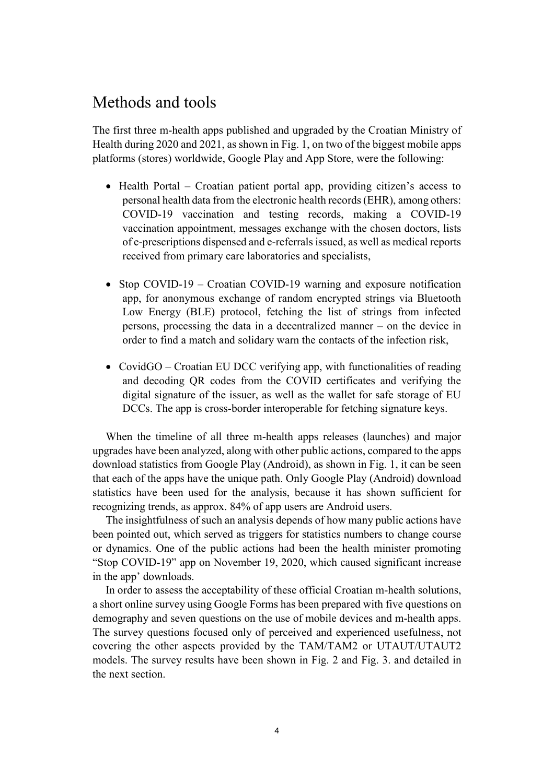#### Methods and tools

The first three m-health apps published and upgraded by the Croatian Ministry of Health during 2020 and 2021, as shown in Fig. 1, on two of the biggest mobile apps platforms (stores) worldwide, Google Play and App Store, were the following:

- Health Portal Croatian patient portal app, providing citizen's access to personal health data from the electronic health records (EHR), among others: COVID-19 vaccination and testing records, making a COVID-19 vaccination appointment, messages exchange with the chosen doctors, lists of e-prescriptions dispensed and e-referrals issued, as well as medical reports received from primary care laboratories and specialists,
- Stop COVID-19 Croatian COVID-19 warning and exposure notification app, for anonymous exchange of random encrypted strings via Bluetooth Low Energy (BLE) protocol, fetching the list of strings from infected persons, processing the data in a decentralized manner – on the device in order to find a match and solidary warn the contacts of the infection risk,
- CovidGO Croatian EU DCC verifying app, with functionalities of reading and decoding QR codes from the COVID certificates and verifying the digital signature of the issuer, as well as the wallet for safe storage of EU DCCs. The app is cross-border interoperable for fetching signature keys.

When the timeline of all three m-health apps releases (launches) and major upgrades have been analyzed, along with other public actions, compared to the apps download statistics from Google Play (Android), as shown in Fig. 1, it can be seen that each of the apps have the unique path. Only Google Play (Android) download statistics have been used for the analysis, because it has shown sufficient for recognizing trends, as approx. 84% of app users are Android users.

The insightfulness of such an analysis depends of how many public actions have been pointed out, which served as triggers for statistics numbers to change course or dynamics. One of the public actions had been the health minister promoting "Stop COVID-19" app on November 19, 2020, which caused significant increase in the app' downloads.

In order to assess the acceptability of these official Croatian m-health solutions, a short online survey using Google Forms has been prepared with five questions on demography and seven questions on the use of mobile devices and m-health apps. The survey questions focused only of perceived and experienced usefulness, not covering the other aspects provided by the TAM/TAM2 or UTAUT/UTAUT2 models. The survey results have been shown in Fig. 2 and Fig. 3. and detailed in the next section.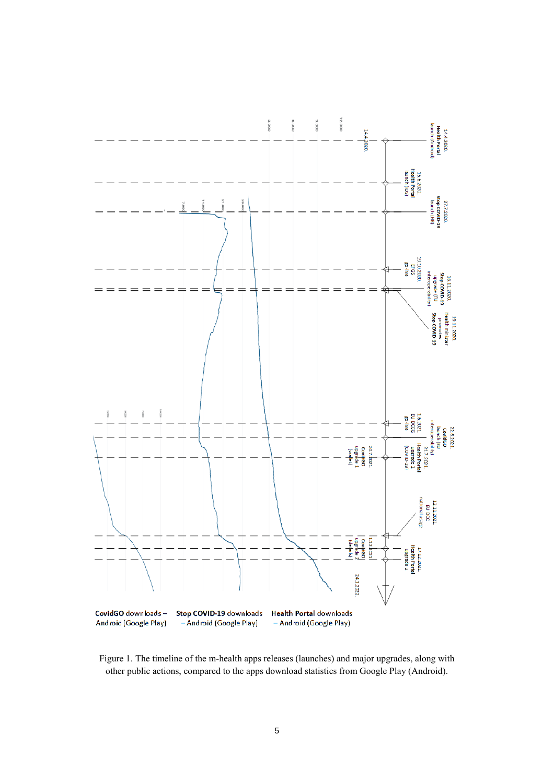

Figure 1. The timeline of the m-health apps releases (launches) and major upgrades, along with other public actions, compared to the apps download statistics from Google Play (Android).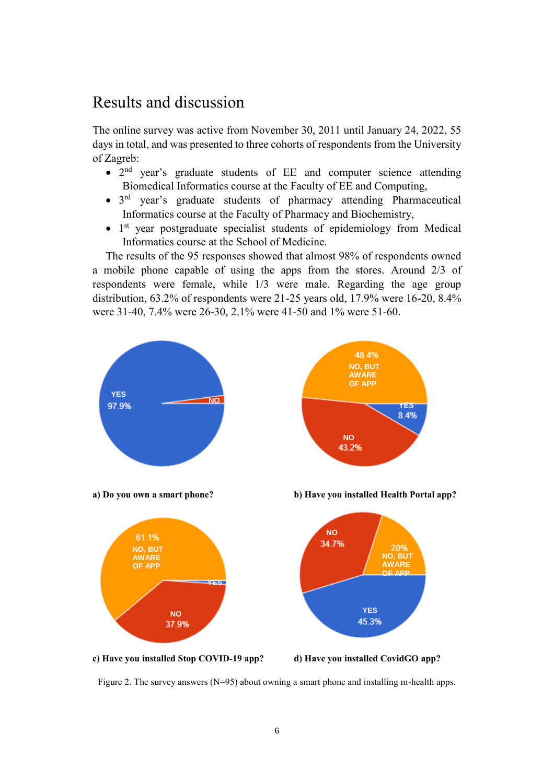# Results and discussion

The online survey was active from November 30, 2011 until January 24, 2022, 55 days in total, and was presented to three cohorts of respondents from the University of Zagreb:

- 2<sup>nd</sup> year's graduate students of EE and computer science attending Biomedical Informatics course at the Faculty of EE and Computing,
- 3<sup>rd</sup> year's graduate students of pharmacy attending Pharmaceutical Informatics course at the Faculty of Pharmacy and Biochemistry,
- 1<sup>st</sup> year postgraduate specialist students of epidemiology from Medical Informatics course at the School of Medicine.

The results of the 95 responses showed that almost 98% of respondents owned a mobile phone capable of using the apps from the stores. Around 2/3 of respondents were female, while 1/3 were male. Regarding the age group distribution, 63.2% of respondents were 21-25 years old, 17.9% were 16-20, 8.4% were 31-40, 7.4% were 26-30, 2.1% were 41-50 and 1% were 51-60.



Figure 2. The survey answers (N=95) about owning a smart phone and installing m-health apps.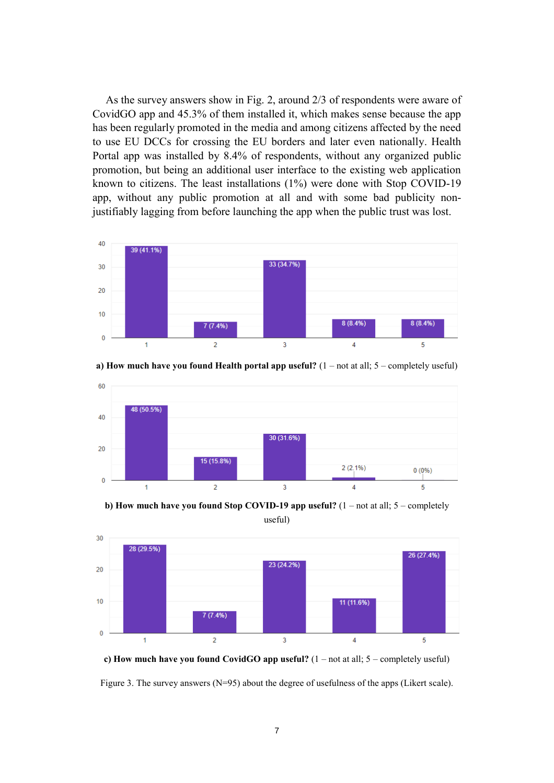As the survey answers show in Fig. 2, around 2/3 of respondents were aware of CovidGO app and 45.3% of them installed it, which makes sense because the app has been regularly promoted in the media and among citizens affected by the need to use EU DCCs for crossing the EU borders and later even nationally. Health Portal app was installed by 8.4% of respondents, without any organized public promotion, but being an additional user interface to the existing web application known to citizens. The least installations (1%) were done with Stop COVID-19 app, without any public promotion at all and with some bad publicity nonjustifiably lagging from before launching the app when the public trust was lost.





**a) How much have you found Health portal app useful?** (1 – not at all; 5 – completely useful)

**b) How much have you found Stop COVID-19 app useful?** (1 – not at all; 5 – completely

useful)



**c) How much have you found CovidGO app useful?** (1 – not at all; 5 – completely useful)

Figure 3. The survey answers (N=95) about the degree of usefulness of the apps (Likert scale).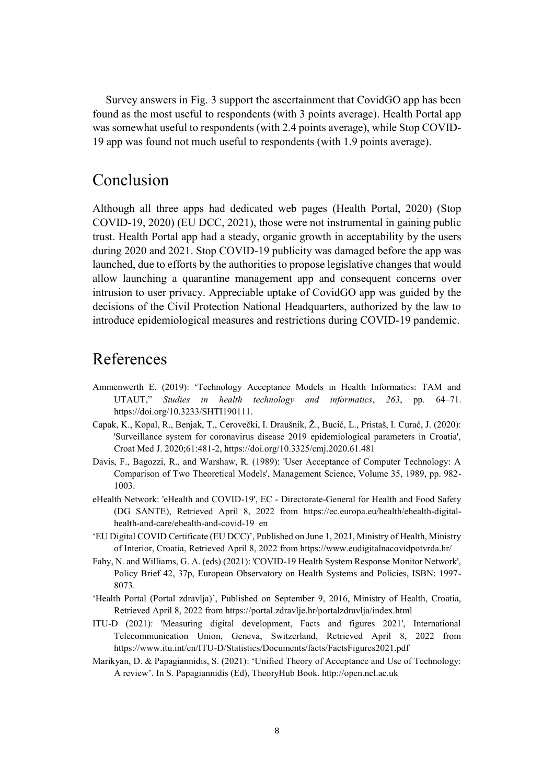Survey answers in Fig. 3 support the ascertainment that CovidGO app has been found as the most useful to respondents (with 3 points average). Health Portal app was somewhat useful to respondents (with 2.4 points average), while Stop COVID-19 app was found not much useful to respondents (with 1.9 points average).

## Conclusion

Although all three apps had dedicated web pages (Health Portal, 2020) (Stop COVID-19, 2020) (EU DCC, 2021), those were not instrumental in gaining public trust. Health Portal app had a steady, organic growth in acceptability by the users during 2020 and 2021. Stop COVID-19 publicity was damaged before the app was launched, due to efforts by the authorities to propose legislative changes that would allow launching a quarantine management app and consequent concerns over intrusion to user privacy. Appreciable uptake of CovidGO app was guided by the decisions of the Civil Protection National Headquarters, authorized by the law to introduce epidemiological measures and restrictions during COVID-19 pandemic.

# References

- Ammenwerth E. (2019): 'Technology Acceptance Models in Health Informatics: TAM and UTAUT," *Studies in health technology and informatics*, *263*, pp. 64–71. https://doi.org/10.3233/SHTI190111.
- Capak, K., Kopal, R., Benjak, T., Cerovečki, I. Draušnik, Ž., Bucić, L., Pristaš, I. Curać, J. (2020): 'Surveillance system for coronavirus disease 2019 epidemiological parameters in Croatia', Croat Med J. 2020;61:481-2, https://doi.org/10.3325/cmj.2020.61.481
- Davis, F., Bagozzi, R., and Warshaw, R. (1989): 'User Acceptance of Computer Technology: A Comparison of Two Theoretical Models', Management Science, Volume 35, 1989, pp. 982- 1003.
- eHealth Network: 'eHealth and COVID-19', EC Directorate-General for Health and Food Safety (DG SANTE), Retrieved April 8, 2022 from https://ec.europa.eu/health/ehealth-digitalhealth-and-care/ehealth-and-covid-19\_en
- 'EU Digital COVID Certificate (EU DCC)', Published on June 1, 2021, Ministry of Health, Ministry of Interior, Croatia, Retrieved April 8, 2022 from https://www.eudigitalnacovidpotvrda.hr/
- Fahy, N. and Williams, G. A. (eds) (2021): 'COVID-19 Health System Response Monitor Network', Policy Brief 42, 37p, European Observatory on Health Systems and Policies, ISBN: 1997- 8073.
- 'Health Portal (Portal zdravlja)', Published on September 9, 2016, Ministry of Health, Croatia, Retrieved April 8, 2022 from https://portal.zdravlje.hr/portalzdravlja/index.html
- ITU-D (2021): 'Measuring digital development, Facts and figures 2021', International Telecommunication Union, Geneva, Switzerland, Retrieved April 8, 2022 from https://www.itu.int/en/ITU-D/Statistics/Documents/facts/FactsFigures2021.pdf
- Marikyan, D. & Papagiannidis, S. (2021): 'Unified Theory of Acceptance and Use of Technology: A review'. In S. Papagiannidis (Ed), TheoryHub Book. http://open.ncl.ac.uk